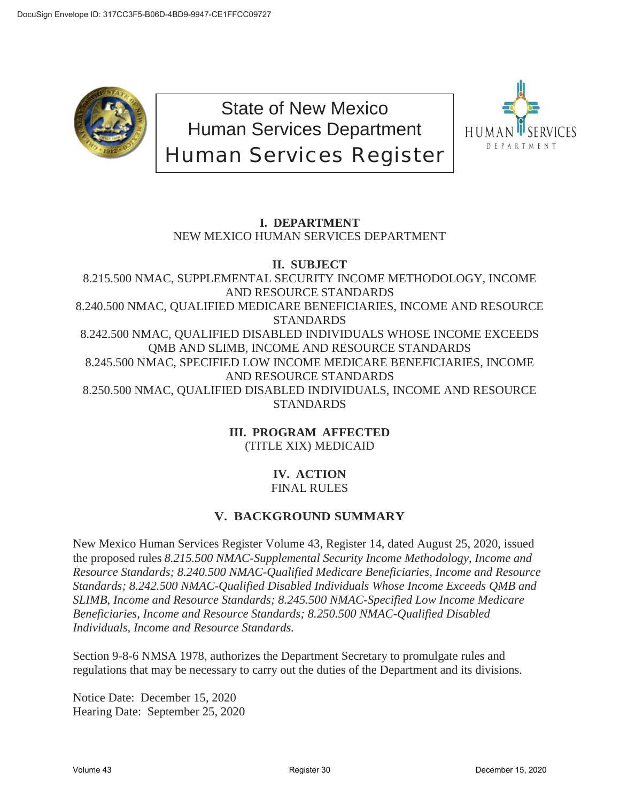

State of New Mexico Human Services Department Human Services Register



### **I. DEPARTMENT** NEW MEXICO HUMAN SERVICES DEPARTMENT

### **II. SUBJECT** 8.215.500 NMAC, SUPPLEMENTAL SECURITY INCOME METHODOLOGY, INCOME AND RESOURCE STANDARDS 8.240.500 NMAC, QUALIFIED MEDICARE BENEFICIARIES, INCOME AND RESOURCE **STANDARDS** 8.242.500 NMAC, QUALIFIED DISABLED INDIVIDUALS WHOSE INCOME EXCEEDS QMB AND SLIMB, INCOME AND RESOURCE STANDARDS 8.245.500 NMAC, SPECIFIED LOW INCOME MEDICARE BENEFICIARIES, INCOME AND RESOURCE STANDARDS 8.250.500 NMAC, QUALIFIED DISABLED INDIVIDUALS, INCOME AND RESOURCE STANDARDS

**III. PROGRAM AFFECTED** (TITLE XIX) MEDICAID

# **IV. ACTION**

## FINAL RULES

### **V. BACKGROUND SUMMARY**

New Mexico Human Services Register Volume 43, Register 14, dated August 25, 2020, issued the proposed rules *8.215.500 NMAC-Supplemental Security Income Methodology, Income and Resource Standards; 8.240.500 NMAC-Qualified Medicare Beneficiaries, Income and Resource Standards; 8.242.500 NMAC-Qualified Disabled Individuals Whose Income Exceeds QMB and SLIMB, Income and Resource Standards; 8.245.500 NMAC-Specified Low Income Medicare Beneficiaries, Income and Resource Standards; 8.250.500 NMAC-Qualified Disabled Individuals, Income and Resource Standards.* 

Section 9-8-6 NMSA 1978, authorizes the Department Secretary to promulgate rules and regulations that may be necessary to carry out the duties of the Department and its divisions.

Notice Date: December 15, 2020 Hearing Date: September 25, 2020